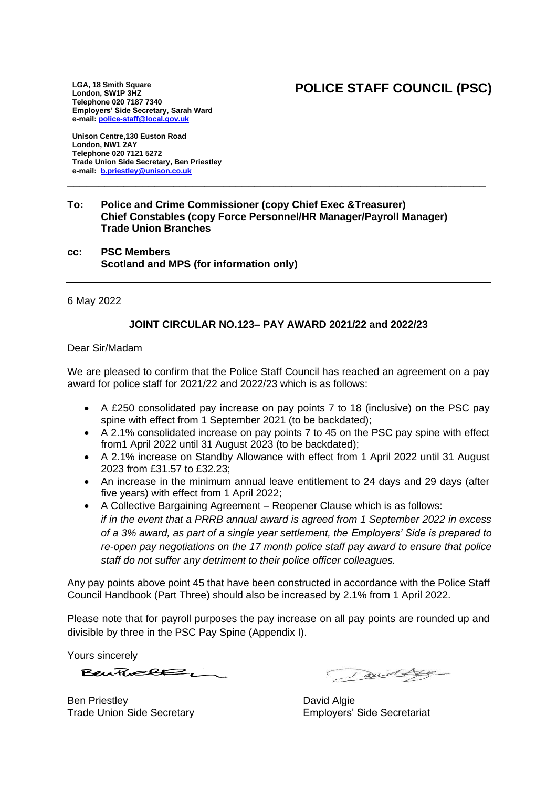# **POLICE STAFF COUNCIL (PSC)**

**LGA, 18 Smith Square London, SW1P 3HZ Telephone 020 7187 7340 Employers' Side Secretary, Sarah Ward e-mail[: police-staff@local.gov.uk](mailto:police-staff@local.gov.uk)**

**Unison Centre,130 Euston Road London, NW1 2AY Telephone 020 7121 5272 Trade Union Side Secretary, Ben Priestley e-mail: [b.priestley@unison.co.uk](mailto:b.priestley@unison.co.uk)**

#### **To: Police and Crime Commissioner (copy Chief Exec &Treasurer) Chief Constables (copy Force Personnel/HR Manager/Payroll Manager) Trade Union Branches**

**\_\_\_\_\_\_\_\_\_\_\_\_\_\_\_\_\_\_\_\_\_\_\_\_\_\_\_\_\_\_\_\_\_\_\_\_\_\_\_\_\_\_\_\_\_\_\_\_\_\_\_\_\_\_\_\_\_\_\_\_\_\_\_\_\_\_\_**

**cc: PSC Members Scotland and MPS (for information only)**

6 May 2022

### **JOINT CIRCULAR NO.123– PAY AWARD 2021/22 and 2022/23**

Dear Sir/Madam

We are pleased to confirm that the Police Staff Council has reached an agreement on a pay award for police staff for 2021/22 and 2022/23 which is as follows:

- A £250 consolidated pay increase on pay points 7 to 18 (inclusive) on the PSC pay spine with effect from 1 September 2021 (to be backdated);
- A 2.1% consolidated increase on pay points 7 to 45 on the PSC pay spine with effect from1 April 2022 until 31 August 2023 (to be backdated);
- A 2.1% increase on Standby Allowance with effect from 1 April 2022 until 31 August 2023 from £31.57 to £32.23;
- An increase in the minimum annual leave entitlement to 24 days and 29 days (after five years) with effect from 1 April 2022;
- A Collective Bargaining Agreement Reopener Clause which is as follows: *if in the event that a PRRB annual award is agreed from 1 September 2022 in excess of a 3% award, as part of a single year settlement, the Employers' Side is prepared to re-open pay negotiations on the 17 month police staff pay award to ensure that police staff do not suffer any detriment to their police officer colleagues.*

Any pay points above point 45 that have been constructed in accordance with the Police Staff Council Handbook (Part Three) should also be increased by 2.1% from 1 April 2022.

Please note that for payroll purposes the pay increase on all pay points are rounded up and divisible by three in the PSC Pay Spine (Appendix I).

Yours sincerely

 $BewRee82 -$ 

Ben Priestley **David Algie** Trade Union Side Secretary **Employers'** Side Secretariat

axid Ly